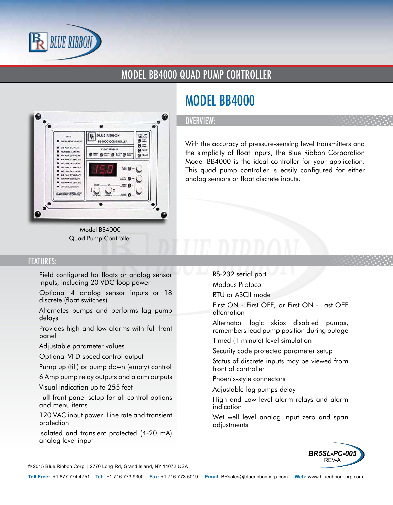

### MODEL BB4000 QUAD PUMP CONTROLLER



Model BB4000 Quad Pump Controller

# MODEL BB4000

#### OVERVIEW:

With the accuracy of pressure-sensing level transmitters and the simplicity of float inputs, the Blue Ribbon Corporation Model BB4000 is the ideal controller for your application. This quad pump controller is easily configured for either analog sensors or float discrete inputs.

#### FEATURES:

- Field configured for floats or analog sensor inputs, including 20 VDC loop power
- Optional 4 analog sensor inputs or 18 discrete (float switches)
- Alternates pumps and performs lag pump delays
- Provides high and low alarms with full front panel
- Adjustable parameter values
- Optional VFD speed control output
- Pump up (fill) or pump down (empty) control
- 6 Amp pump relay outputs and alarm outputs
- Visual indication up to 255 feet
- Full front panel setup for all control options and menu items
- 120 VAC input power. Line rate and transient protection
- Isolated and transient protected (4-20 mA) analog level input
- RS-232 serial port
- Modbus Protocol
- RTU or ASCII mode
- First ON First OFF, or First ON Last OFF alternation
- Alternator logic skips disabled pumps, remembers lead pump position during outage
- Timed (1 minute) level simulation
- Security code protected parameter setup
- Status of discrete inputs may be viewed from front of controller
- Phoenix-style connectors
- Adjustable lag pumps delay
- High and Low level alarm relays and alarm indication
- Wet well level analog input zero and span adjustments



© 2015 Blue Ribbon Corp. *<sup>|</sup>* 2770 Long Rd, Grand Island, NY 14072 USA